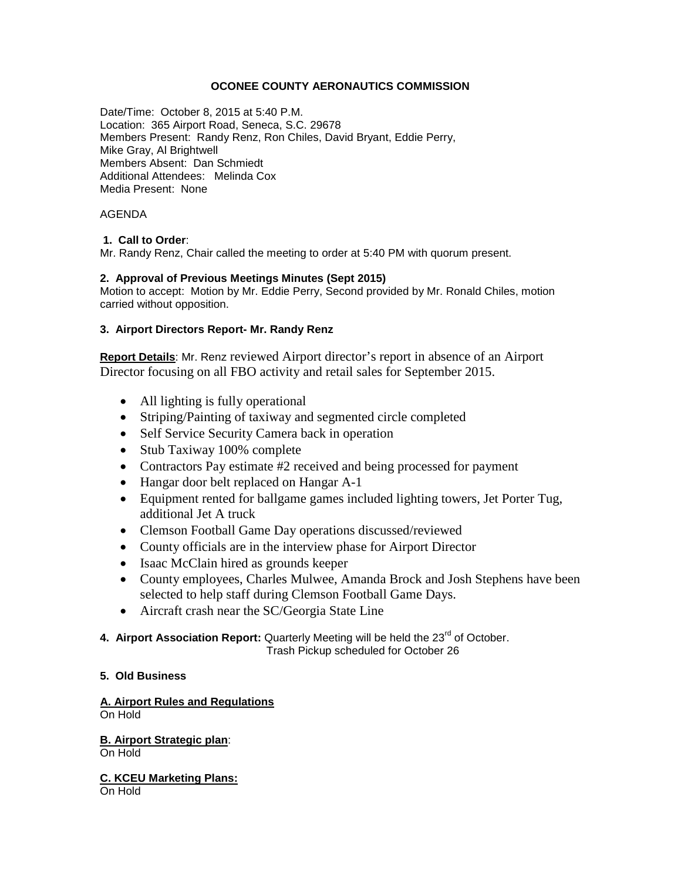## **OCONEE COUNTY AERONAUTICS COMMISSION**

Date/Time: October 8, 2015 at 5:40 P.M. Location: 365 Airport Road, Seneca, S.C. 29678 Members Present: Randy Renz, Ron Chiles, David Bryant, Eddie Perry, Mike Gray, Al Brightwell Members Absent: Dan Schmiedt Additional Attendees: Melinda Cox Media Present: None

### AGENDA

## **1. Call to Order**:

Mr. Randy Renz, Chair called the meeting to order at 5:40 PM with quorum present.

#### **2. Approval of Previous Meetings Minutes (Sept 2015)**

Motion to accept: Motion by Mr. Eddie Perry, Second provided by Mr. Ronald Chiles, motion carried without opposition.

## **3. Airport Directors Report- Mr. Randy Renz**

**Report Details**: Mr. Renz reviewed Airport director's report in absence of an Airport Director focusing on all FBO activity and retail sales for September 2015.

- All lighting is fully operational
- Striping/Painting of taxiway and segmented circle completed
- Self Service Security Camera back in operation
- Stub Taxiway 100% complete
- Contractors Pay estimate #2 received and being processed for payment
- Hangar door belt replaced on Hangar A-1
- Equipment rented for ballgame games included lighting towers, Jet Porter Tug, additional Jet A truck
- Clemson Football Game Day operations discussed/reviewed
- County officials are in the interview phase for Airport Director
- Isaac McClain hired as grounds keeper
- County employees, Charles Mulwee, Amanda Brock and Josh Stephens have been selected to help staff during Clemson Football Game Days.
- Aircraft crash near the SC/Georgia State Line
- 4. Airport Association Report: Quarterly Meeting will be held the 23<sup>rd</sup> of October. Trash Pickup scheduled for October 26

#### **5. Old Business**

**A. Airport Rules and Regulations** On Hold

**B. Airport Strategic plan**: On Hold

**C. KCEU Marketing Plans:**  On Hold